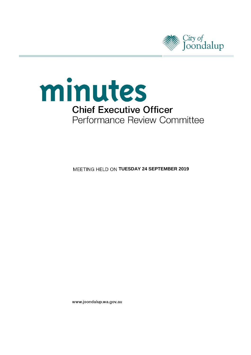



**MEETING HELD ON TUESDAY 24 SEPTEMBER 2019** 

www.joondalup.wa.gov.au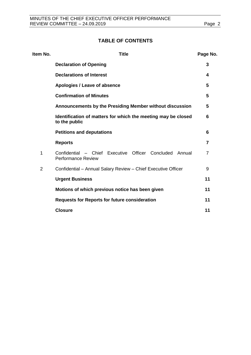## **TABLE OF CONTENTS**

| Item No.       | <b>Title</b>                                                                            | Page No. |
|----------------|-----------------------------------------------------------------------------------------|----------|
|                | <b>Declaration of Opening</b>                                                           | 3        |
|                | <b>Declarations of Interest</b>                                                         | 4        |
|                | Apologies / Leave of absence                                                            | 5        |
|                | <b>Confirmation of Minutes</b>                                                          | 5        |
|                | Announcements by the Presiding Member without discussion                                | 5        |
|                | Identification of matters for which the meeting may be closed<br>to the public          | 6        |
|                | <b>Petitions and deputations</b>                                                        | 6        |
|                | <b>Reports</b>                                                                          | 7        |
| 1              | Confidential - Chief Executive Officer Concluded<br>Annual<br><b>Performance Review</b> | 7        |
| $\overline{2}$ | Confidential - Annual Salary Review - Chief Executive Officer                           | 9        |
|                | <b>Urgent Business</b>                                                                  | 11       |
|                | Motions of which previous notice has been given                                         | 11       |
|                | <b>Requests for Reports for future consideration</b>                                    | 11       |
|                | <b>Closure</b>                                                                          | 11       |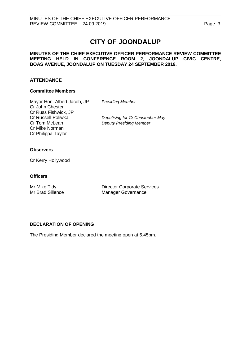# **CITY OF JOONDALUP**

## **MINUTES OF THE CHIEF EXECUTIVE OFFICER PERFORMANCE REVIEW COMMITTEE MEETING HELD IN CONFERENCE ROOM 2, JOONDALUP CIVIC CENTRE, BOAS AVENUE, JOONDALUP ON TUESDAY 24 SEPTEMBER 2019.**

## **ATTENDANCE**

## **Committee Members**

Mayor Hon. Albert Jacob, JP *Presiding Member* Cr John Chester Cr Russ Fishwick, JP Cr Mike Norman Cr Philippa Taylor

Cr Russell Poliwka *Deputising for Cr Christopher May* **Deputy Presiding Member** 

## **Observers**

Cr Kerry Hollywood

## **Officers**

Mr Mike Tidy<br>
Mr Brad Sillence<br>
Manager Governance<br>
Manager Governance Manager Governance

## <span id="page-2-0"></span>**DECLARATION OF OPENING**

The Presiding Member declared the meeting open at 5.45pm.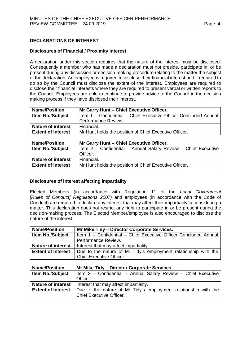## <span id="page-3-0"></span>**DECLARATIONS OF INTEREST**

## **Disclosures of Financial / Proximity Interest**

A declaration under this section requires that the nature of the interest must be disclosed. Consequently a member who has made a declaration must not preside, participate in, or be present during any discussion or decision-making procedure relating to the matter the subject of the declaration. An employee is required to disclose their financial interest and if required to do so by the Council must disclose the extent of the interest. Employees are required to disclose their financial interests where they are required to present verbal or written reports to the Council. Employees are able to continue to provide advice to the Council in the decision making process if they have disclosed their interest.

| <b>Name/Position</b>      | Mr Garry Hunt - Chief Executive Officer.                         |  |  |
|---------------------------|------------------------------------------------------------------|--|--|
| <b>Item No./Subject</b>   | Item 1 - Confidential - Chief Executive Officer Concluded Annual |  |  |
|                           | Performance Review.                                              |  |  |
| <b>Nature of interest</b> | Financial.                                                       |  |  |
| <b>Extent of Interest</b> | Mr Hunt holds the position of Chief Executive Officer.           |  |  |
|                           |                                                                  |  |  |

| <b>Name/Position</b>      | Mr Garry Hunt - Chief Executive Officer.                       |  |  |
|---------------------------|----------------------------------------------------------------|--|--|
| <b>Item No./Subject</b>   | Item 2 - Confidential - Annual Salary Review - Chief Executive |  |  |
|                           | Officer.                                                       |  |  |
| <b>Nature of interest</b> | Financial.                                                     |  |  |
| <b>Extent of Interest</b> | Mr Hunt holds the position of Chief Executive Officer.         |  |  |

## **Disclosures of interest affecting impartiality**

Elected Members (in accordance with Regulation 11 of the *Local Government [Rules of Conduct] Regulations 2007)* and employees (in accordance with the Code of Conduct) are required to declare any interest that may affect their impartiality in considering a matter. This declaration does not restrict any right to participate in or be present during the decision-making process. The Elected Member/employee is also encouraged to disclose the nature of the interest.

| <b>Name/Position</b>      | Mr Mike Tidy - Director Corporate Services.                      |  |
|---------------------------|------------------------------------------------------------------|--|
| <b>Item No./Subject</b>   | Item 1 - Confidential - Chief Executive Officer Concluded Annual |  |
|                           | Performance Review.                                              |  |
| <b>Nature of interest</b> | Interest that may affect impartiality.                           |  |
| <b>Extent of Interest</b> | Due to the nature of Mr Tidy's employment relationship with the  |  |
|                           | <b>Chief Executive Officer.</b>                                  |  |

<span id="page-3-1"></span>

| <b>Name/Position</b>      | Mr Mike Tidy - Director Corporate Services.                     |  |
|---------------------------|-----------------------------------------------------------------|--|
| <b>Item No./Subject</b>   | Item 2 – Confidential – Annual Salary Review – Chief Executive  |  |
|                           | Officer.                                                        |  |
| <b>Nature of interest</b> | Interest that may affect impartiality.                          |  |
| <b>Extent of Interest</b> | Due to the nature of Mr Tidy's employment relationship with the |  |
|                           | <b>Chief Executive Officer.</b>                                 |  |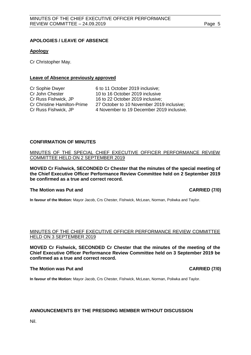## **APOLOGIES / LEAVE OF ABSENCE**

### **Apology**

Cr Christopher May.

### **Leave of Absence previously approved**

| Cr Sophie Dwyer                    | 6 to 11 October 2019 inclusive;           |
|------------------------------------|-------------------------------------------|
| Cr John Chester                    | 10 to 16 October 2019 inclusive           |
| Cr Russ Fishwick, JP               | 16 to 22 October 2019 inclusive;          |
| <b>Cr Christine Hamilton-Prime</b> | 27 October to 10 November 2019 inclusive; |
| Cr Russ Fishwick, JP               | 4 November to 19 December 2019 inclusive. |
|                                    |                                           |

## <span id="page-4-0"></span>**CONFIRMATION OF MINUTES**

MINUTES OF THE SPECIAL CHIEF EXECUTIVE OFFICER PERFORMANCE REVIEW COMMITTEE HELD ON 2 SEPTEMBER 2019

**MOVED Cr Fishwick, SECONDED Cr Chester that the minutes of the special meeting of the Chief Executive Officer Performance Review Committee held on 2 September 2019 be confirmed as a true and correct record.**

#### **The Motion was Put and CARRIED (7/0)**

**In favour of the Motion:** Mayor Jacob, Crs Chester, Fishwick, McLean, Norman, Poliwka and Taylor.

## MINUTES OF THE CHIEF EXECUTIVE OFFICER PERFORMANCE REVIEW COMMITTEE HELD ON 3 SEPTEMBER 2019

**MOVED Cr Fishwick, SECONDED Cr Chester that the minutes of the meeting of the Chief Executive Officer Performance Review Committee held on 3 September 2019 be confirmed as a true and correct record.**

#### **The Motion was Put and CARRIED (7/0)**

**In favour of the Motion:** Mayor Jacob, Crs Chester, Fishwick, McLean, Norman, Poliwka and Taylor.

#### **ANNOUNCEMENTS BY THE PRESIDING MEMBER WITHOUT DISCUSSION**

<span id="page-4-1"></span>Nil.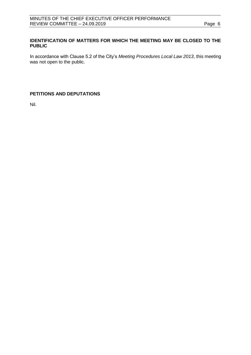## **IDENTIFICATION OF MATTERS FOR WHICH THE MEETING MAY BE CLOSED TO THE PUBLIC**

In accordance with Clause 5.2 of the City's *Meeting Procedures Local Law 2013*, this meeting was not open to the public.

## <span id="page-5-0"></span>**PETITIONS AND DEPUTATIONS**

Nil.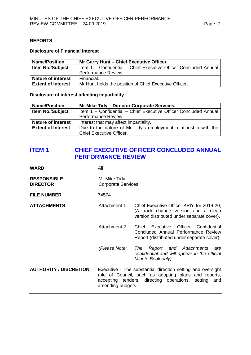## <span id="page-6-0"></span>**REPORTS**

## **Disclosure of Financial Interest**

| <b>Name/Position</b>      | Mr Garry Hunt - Chief Executive Officer.                         |  |  |
|---------------------------|------------------------------------------------------------------|--|--|
| <b>Item No./Subject</b>   | Item 1 - Confidential - Chief Executive Officer Concluded Annual |  |  |
|                           | Performance Review.                                              |  |  |
| <b>Nature of interest</b> | Financial.                                                       |  |  |
| <b>Extent of Interest</b> | Mr Hunt holds the position of Chief Executive Officer.           |  |  |

## **Disclosure of interest affecting impartiality**

| <b>Name/Position</b>      | Mr Mike Tidy – Director Corporate Services.                      |  |  |
|---------------------------|------------------------------------------------------------------|--|--|
| <b>Item No./Subject</b>   | Item 1 - Confidential - Chief Executive Officer Concluded Annual |  |  |
|                           | Performance Review.                                              |  |  |
| <b>Nature of interest</b> | Interest that may affect impartiality.                           |  |  |
| <b>Extent of Interest</b> | Due to the nature of Mr Tidy's employment relationship with the  |  |  |
|                           | <b>Chief Executive Officer.</b>                                  |  |  |

## <span id="page-6-1"></span>**ITEM 1 CHIEF EXECUTIVE OFFICER CONCLUDED ANNUAL PERFORMANCE REVIEW**

| <b>WARD</b>                           | All                                                                                                                                                                                              |                                                                                                                                    |
|---------------------------------------|--------------------------------------------------------------------------------------------------------------------------------------------------------------------------------------------------|------------------------------------------------------------------------------------------------------------------------------------|
| <b>RESPONSIBLE</b><br><b>DIRECTOR</b> | Mr Mike Tidy<br><b>Corporate Services</b>                                                                                                                                                        |                                                                                                                                    |
| <b>FILE NUMBER</b>                    | 74574                                                                                                                                                                                            |                                                                                                                                    |
| <b>ATTACHMENTS</b>                    | Attachment 1                                                                                                                                                                                     | Chief Executive Officer KPI's for 2019-20,<br>(A track change version and a clean<br>version distributed under separate cover).    |
|                                       | <b>Attachment 2</b>                                                                                                                                                                              | Executive<br>Officer<br>Confidential<br>Chief<br>Concluded Annual Performance Review<br>Report (distributed under separate cover). |
|                                       | (Please Note:                                                                                                                                                                                    | Report and Attachments<br>The<br>are<br>confidential and will appear in the official<br>Minute Book only)                          |
| <b>AUTHORITY / DISCRETION</b>         | Executive - The substantial direction setting and oversight<br>role of Council, such as adopting plans and reports,<br>accepting tenders, directing operations, setting and<br>amending budgets. |                                                                                                                                    |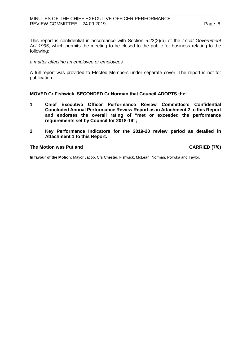## MINUTES OF THE CHIEF EXECUTIVE OFFICER PERFORMANCE REVIEW COMMITTEE - 24.09.2019 **Page 8**

This report is confidential in accordance with Section 5.23(2)(a) of the *Local Government Act 1995*, which permits the meeting to be closed to the public for business relating to the following:

### *a matter affecting an employee or employees.*

A full report was provided to Elected Members under separate cover. The report is not for publication.

## **MOVED Cr Fishwick, SECONDED Cr Norman that Council ADOPTS the:**

- **1 Chief Executive Officer Performance Review Committee's Confidential Concluded Annual Performance Review Report as in Attachment 2 to this Report and endorses the overall rating of "met or exceeded the performance requirements set by Council for 2018-19";**
- **2 Key Performance Indicators for the 2019-20 review period as detailed in Attachment 1 to this Report.**

## **The Motion was Put and CARRIED (7/0)**

**In favour of the Motion:** Mayor Jacob, Crs Chester, Fishwick, McLean, Norman, Poliwka and Taylor.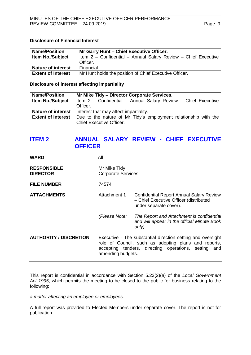## **Disclosure of Financial Interest**

| <b>Name/Position</b>      | Mr Garry Hunt - Chief Executive Officer.                       |  |  |
|---------------------------|----------------------------------------------------------------|--|--|
| <b>Item No./Subject</b>   | Item 2 - Confidential - Annual Salary Review - Chief Executive |  |  |
|                           | Officer.                                                       |  |  |
| <b>Nature of interest</b> | Financial.                                                     |  |  |
| <b>Extent of Interest</b> | Mr Hunt holds the position of Chief Executive Officer.         |  |  |

**Disclosure of interest affecting impartiality**

| <b>Name/Position</b>      | Mr Mike Tidy - Director Corporate Services.                     |
|---------------------------|-----------------------------------------------------------------|
| <b>Item No./Subject</b>   | Item 2 - Confidential - Annual Salary Review - Chief Executive  |
|                           | Officer.                                                        |
| <b>Nature of interest</b> | Interest that may affect impartiality.                          |
| <b>Extent of Interest</b> | Due to the nature of Mr Tidy's employment relationship with the |
|                           | <b>Chief Executive Officer.</b>                                 |

## <span id="page-8-0"></span>**ITEM 2 ANNUAL SALARY REVIEW - CHIEF EXECUTIVE OFFICER**

| <b>WARD</b>                           | All                                                                                                                                                                                              |                                                                                                                     |
|---------------------------------------|--------------------------------------------------------------------------------------------------------------------------------------------------------------------------------------------------|---------------------------------------------------------------------------------------------------------------------|
| <b>RESPONSIBLE</b><br><b>DIRECTOR</b> | Mr Mike Tidy<br><b>Corporate Services</b>                                                                                                                                                        |                                                                                                                     |
| <b>FILE NUMBER</b>                    | 74574                                                                                                                                                                                            |                                                                                                                     |
| <b>ATTACHMENTS</b>                    | Attachment 1                                                                                                                                                                                     | <b>Confidential Report Annual Salary Review</b><br>- Chief Executive Officer (distributed<br>under separate cover). |
|                                       | (Please Note:                                                                                                                                                                                    | The Report and Attachment is confidential<br>and will appear in the official Minute Book<br>only)                   |
| <b>AUTHORITY / DISCRETION</b>         | Executive - The substantial direction setting and oversight<br>role of Council, such as adopting plans and reports,<br>accepting tenders, directing operations, setting and<br>amending budgets. |                                                                                                                     |

This report is confidential in accordance with Section 5.23(2)(a) of the *Local Government Act 1995*, which permits the meeting to be closed to the public for business relating to the following:

*a matter affecting an employee or employees.*

A full report was provided to Elected Members under separate cover. The report is not for publication.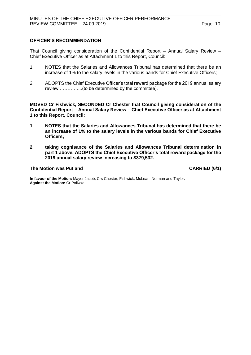## **OFFICER'S RECOMMENDATION**

That Council giving consideration of the Confidential Report – Annual Salary Review – Chief Executive Officer as at Attachment 1 to this Report, Council:

- 1 NOTES that the Salaries and Allowances Tribunal has determined that there be an increase of 1% to the salary levels in the various bands for Chief Executive Officers;
- 2 ADOPTS the Chief Executive Officer's total reward package for the 2019 annual salary review …………...(to be determined by the committee).

**MOVED Cr Fishwick, SECONDED Cr Chester that Council giving consideration of the Confidential Report – Annual Salary Review – Chief Executive Officer as at Attachment 1 to this Report, Council:**

- **1 NOTES that the Salaries and Allowances Tribunal has determined that there be an increase of 1% to the salary levels in the various bands for Chief Executive Officers;**
- **2 taking cognisance of the Salaries and Allowances Tribunal determination in part 1 above, ADOPTS the Chief Executive Officer's total reward package for the 2019 annual salary review increasing to \$379,532.**

## **The Motion was Put and CARRIED (6/1)**

**In favour of the Motion:** Mayor Jacob, Crs Chester, Fishwick, McLean, Norman and Taylor. **Against the Motion:** Cr Poliwka.